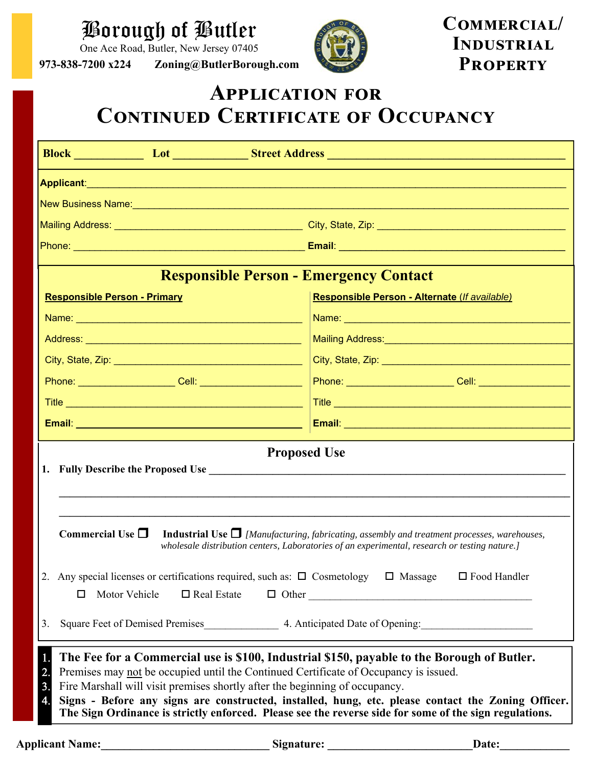## Borough of Butler

One Ace Road, Butler, New Jersey 07405

**973-838-7200 x224 Zoning@ButlerBorough.com** 



COMMERCIAL/ **INDUSTRIAL PROPERTY** 

## **APPLICATION FOR CONTINUED CERTIFICATE OF OCCUPANCY**

| <b>Responsible Person - Emergency Contact</b>                                                                                                                                                                                                                                                                                                                                                                                                                                                                                         |                                                                                                      |
|---------------------------------------------------------------------------------------------------------------------------------------------------------------------------------------------------------------------------------------------------------------------------------------------------------------------------------------------------------------------------------------------------------------------------------------------------------------------------------------------------------------------------------------|------------------------------------------------------------------------------------------------------|
| <b>Responsible Person - Primary</b>                                                                                                                                                                                                                                                                                                                                                                                                                                                                                                   | Responsible Person - Alternate (If available)                                                        |
|                                                                                                                                                                                                                                                                                                                                                                                                                                                                                                                                       |                                                                                                      |
|                                                                                                                                                                                                                                                                                                                                                                                                                                                                                                                                       |                                                                                                      |
|                                                                                                                                                                                                                                                                                                                                                                                                                                                                                                                                       |                                                                                                      |
|                                                                                                                                                                                                                                                                                                                                                                                                                                                                                                                                       | Phone: ___________________Cell: ___________________ Phone: __________________Cell: _________________ |
|                                                                                                                                                                                                                                                                                                                                                                                                                                                                                                                                       |                                                                                                      |
|                                                                                                                                                                                                                                                                                                                                                                                                                                                                                                                                       |                                                                                                      |
| <b>Proposed Use</b><br>Commercial Use $\Box$<br><b>Industrial Use <math>\Box</math></b> [Manufacturing, fabricating, assembly and treatment processes, warehouses,<br>wholesale distribution centers, Laboratories of an experimental, research or testing nature.]                                                                                                                                                                                                                                                                   |                                                                                                      |
| 2. Any special licenses or certifications required, such as: □ Cosmetology □ Massage □ Food Handler<br>Motor Vehicle<br>$\Box$ Real Estate<br>$\Box$ Other<br>□<br>3.                                                                                                                                                                                                                                                                                                                                                                 |                                                                                                      |
| 1.<br>The Fee for a Commercial use is \$100, Industrial \$150, payable to the Borough of Butler.<br>2.<br>Premises may not be occupied until the Continued Certificate of Occupancy is issued.<br>$\overline{3}$ .<br>Fire Marshall will visit premises shortly after the beginning of occupancy.<br>$\overline{4}$ .<br>Signs - Before any signs are constructed, installed, hung, etc. please contact the Zoning Officer.<br>The Sign Ordinance is strictly enforced. Please see the reverse side for some of the sign regulations. |                                                                                                      |